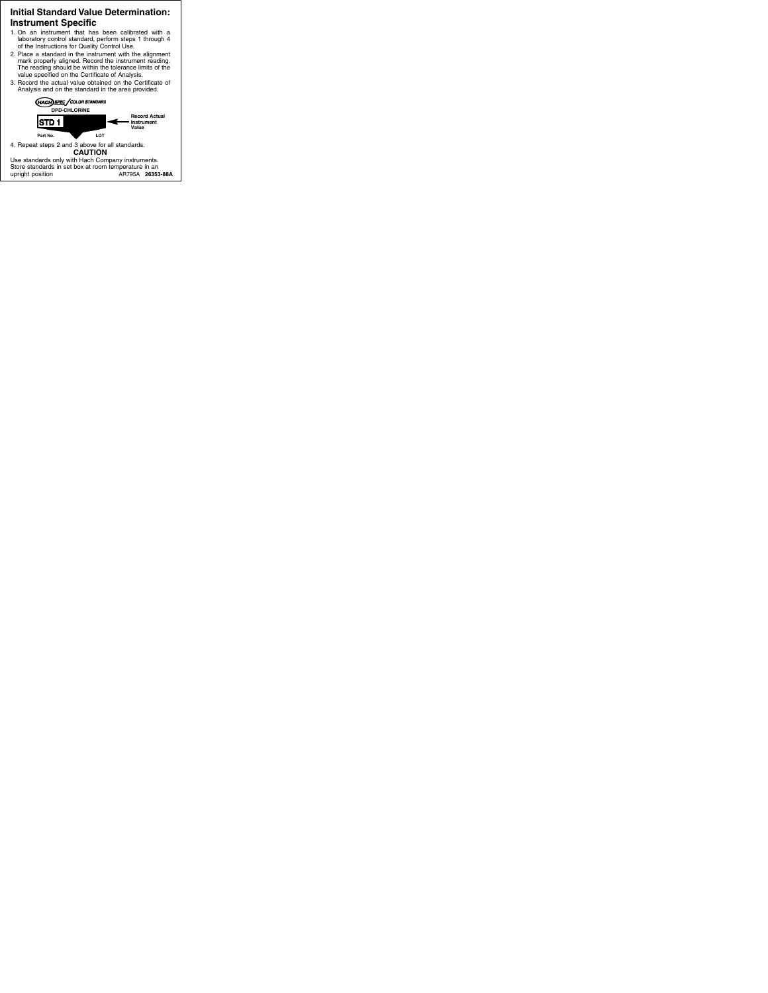## **Initial Standard Value Determination: Instrument Specific**

- 1. On an instrument that has been calibrated with a laboratory control standard, perform steps 1 through 4 of the Instructions for Quality Control Use.
- 2. Place a standard in the instrument with the alignment mark properly aligned. Record the instrument reading. The reading should be within the tolerance limits of the value specified on the Certificate of Analysis.
- 3. Record the actual value obtained on the Certificate of Analysis and on the standard in the area provided.



4. Repeat steps 2 and 3 above for all standards. **CAUTION**

Use standards only with Hach Company instruments. Store standards in set box at room temperature in an upright position AR795A **26353-88A**